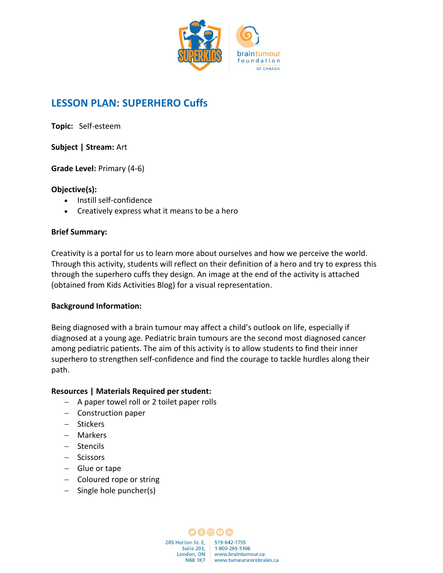

# **LESSON PLAN: SUPERHERO Cuffs**

**Topic:** Self-esteem

# **Subject | Stream:** Art

**Grade Level:** Primary (4-6)

# **Objective(s):**

- Instill self-confidence
- Creatively express what it means to be a hero

### **Brief Summary:**

Creativity is a portal for us to learn more about ourselves and how we perceive the world. Through this activity, students will reflect on their definition of a hero and try to express this through the superhero cuffs they design. An image at the end of the activity is attached (obtained from Kids Activities Blog) for a visual representation.

#### **Background Information:**

Being diagnosed with a brain tumour may affect a child's outlook on life, especially if diagnosed at a young age. Pediatric brain tumours are the second most diagnosed cancer among pediatric patients. The aim of this activity is to allow students to find their inner superhero to strengthen self-confidence and find the courage to tackle hurdles along their path.

# **Resources | Materials Required per student:**

- − A paper towel roll or 2 toilet paper rolls
- − Construction paper
- − Stickers
- − Markers
- − Stencils
- − Scissors
- − Glue or tape
- − Coloured rope or string
- − Single hole puncher(s)